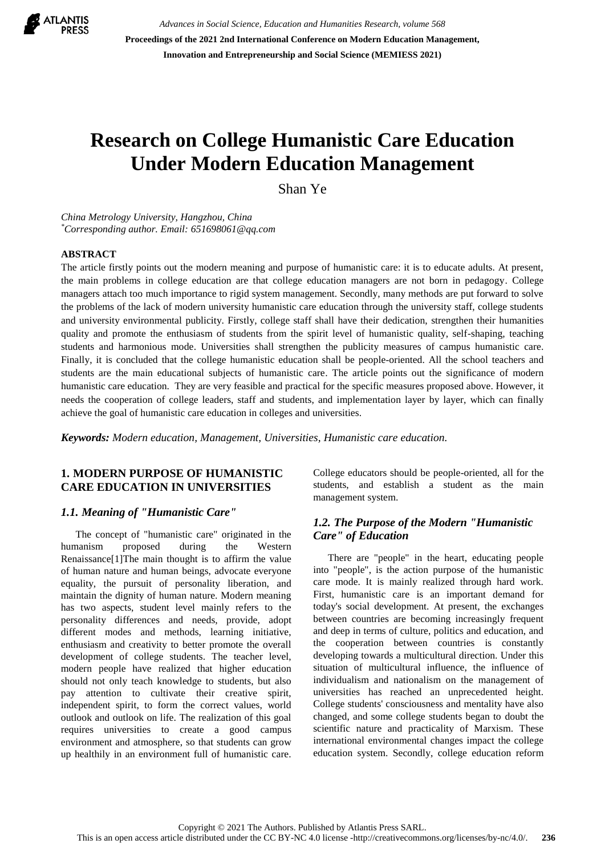

*Advances in Social Science, Education and Humanities Research, volume 568* **Proceedings of the 2021 2nd International Conference on Modern Education Management, Innovation and Entrepreneurship and Social Science (MEMIESS 2021)**

# **Research on College Humanistic Care Education Under Modern Education Management**

Shan Ye

*China Metrology University, Hangzhou, China \*Corresponding author. Email: 651698061@qq.com*

#### **ABSTRACT**

The article firstly points out the modern meaning and purpose of humanistic care: it is to educate adults. At present, the main problems in college education are that college education managers are not born in pedagogy. College managers attach too much importance to rigid system management. Secondly, many methods are put forward to solve the problems of the lack of modern university humanistic care education through the university staff, college students and university environmental publicity. Firstly, college staff shall have their dedication, strengthen their humanities quality and promote the enthusiasm of students from the spirit level of humanistic quality, self-shaping, teaching students and harmonious mode. Universities shall strengthen the publicity measures of campus humanistic care. Finally, it is concluded that the college humanistic education shall be people-oriented. All the school teachers and students are the main educational subjects of humanistic care. The article points out the significance of modern humanistic care education. They are very feasible and practical for the specific measures proposed above. However, it needs the cooperation of college leaders, staff and students, and implementation layer by layer, which can finally achieve the goal of humanistic care education in colleges and universities.

*Keywords: Modern education, Management, Universities, Humanistic care education.*

## **1. MODERN PURPOSE OF HUMANISTIC CARE EDUCATION IN UNIVERSITIES**

#### *1.1. Meaning of "Humanistic Care"*

The concept of "humanistic care" originated in the humanism proposed during the Western Renaissance[1]The main thought is to affirm the value of human nature and human beings, advocate everyone equality, the pursuit of personality liberation, and maintain the dignity of human nature. Modern meaning has two aspects, student level mainly refers to the personality differences and needs, provide, adopt different modes and methods, learning initiative, enthusiasm and creativity to better promote the overall development of college students. The teacher level, modern people have realized that higher education should not only teach knowledge to students, but also pay attention to cultivate their creative spirit, independent spirit, to form the correct values, world outlook and outlook on life. The realization of this goal requires universities to create a good campus environment and atmosphere, so that students can grow up healthily in an environment full of humanistic care. College educators should be people-oriented, all for the students, and establish a student as the main management system.

## *1.2. The Purpose of the Modern "Humanistic Care" of Education*

There are "people" in the heart, educating people into "people", is the action purpose of the humanistic care mode. It is mainly realized through hard work. First, humanistic care is an important demand for today's social development. At present, the exchanges between countries are becoming increasingly frequent and deep in terms of culture, politics and education, and the cooperation between countries is constantly developing towards a multicultural direction. Under this situation of multicultural influence, the influence of individualism and nationalism on the management of universities has reached an unprecedented height. College students' consciousness and mentality have also changed, and some college students began to doubt the scientific nature and practicality of Marxism. These international environmental changes impact the college education system. Secondly, college education reform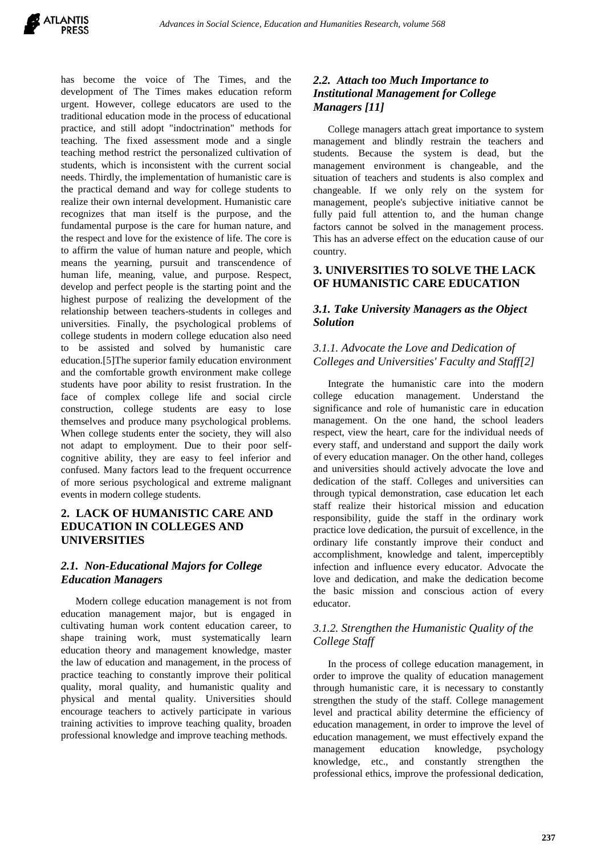

has become the voice of The Times, and the development of The Times makes education reform urgent. However, college educators are used to the traditional education mode in the process of educational practice, and still adopt "indoctrination" methods for teaching. The fixed assessment mode and a single teaching method restrict the personalized cultivation of students, which is inconsistent with the current social needs. Thirdly, the implementation of humanistic care is the practical demand and way for college students to realize their own internal development. Humanistic care recognizes that man itself is the purpose, and the fundamental purpose is the care for human nature, and the respect and love for the existence of life. The core is to affirm the value of human nature and people, which means the yearning, pursuit and transcendence of human life, meaning, value, and purpose. Respect, develop and perfect people is the starting point and the highest purpose of realizing the development of the relationship between teachers-students in colleges and universities. Finally, the psychological problems of college students in modern college education also need to be assisted and solved by humanistic care education.[5]The superior family education environment and the comfortable growth environment make college students have poor ability to resist frustration. In the face of complex college life and social circle construction, college students are easy to lose themselves and produce many psychological problems. When college students enter the society, they will also not adapt to employment. Due to their poor selfcognitive ability, they are easy to feel inferior and confused. Many factors lead to the frequent occurrence of more serious psychological and extreme malignant events in modern college students.

## **2. LACK OF HUMANISTIC CARE AND EDUCATION IN COLLEGES AND UNIVERSITIES**

#### *2.1. Non-Educational Majors for College Education Managers*

Modern college education management is not from education management major, but is engaged in cultivating human work content education career, to shape training work, must systematically learn education theory and management knowledge, master the law of education and management, in the process of practice teaching to constantly improve their political quality, moral quality, and humanistic quality and physical and mental quality. Universities should encourage teachers to actively participate in various training activities to improve teaching quality, broaden professional knowledge and improve teaching methods.

## *2.2. Attach too Much Importance to Institutional Management for College Managers [11]*

College managers attach great importance to system management and blindly restrain the teachers and students. Because the system is dead, but the management environment is changeable, and the situation of teachers and students is also complex and changeable. If we only rely on the system for management, people's subjective initiative cannot be fully paid full attention to, and the human change factors cannot be solved in the management process. This has an adverse effect on the education cause of our country.

## **3. UNIVERSITIES TO SOLVE THE LACK OF HUMANISTIC CARE EDUCATION**

## *3.1. Take University Managers as the Object Solution*

## *3.1.1. Advocate the Love and Dedication of Colleges and Universities' Faculty and Staff[2]*

Integrate the humanistic care into the modern college education management. Understand the significance and role of humanistic care in education management. On the one hand, the school leaders respect, view the heart, care for the individual needs of every staff, and understand and support the daily work of every education manager. On the other hand, colleges and universities should actively advocate the love and dedication of the staff. Colleges and universities can through typical demonstration, case education let each staff realize their historical mission and education responsibility, guide the staff in the ordinary work practice love dedication, the pursuit of excellence, in the ordinary life constantly improve their conduct and accomplishment, knowledge and talent, imperceptibly infection and influence every educator. Advocate the love and dedication, and make the dedication become the basic mission and conscious action of every educator.

## *3.1.2. Strengthen the Humanistic Quality of the College Staff*

In the process of college education management, in order to improve the quality of education management through humanistic care, it is necessary to constantly strengthen the study of the staff. College management level and practical ability determine the efficiency of education management, in order to improve the level of education management, we must effectively expand the management education knowledge, psychology knowledge, etc., and constantly strengthen the professional ethics, improve the professional dedication,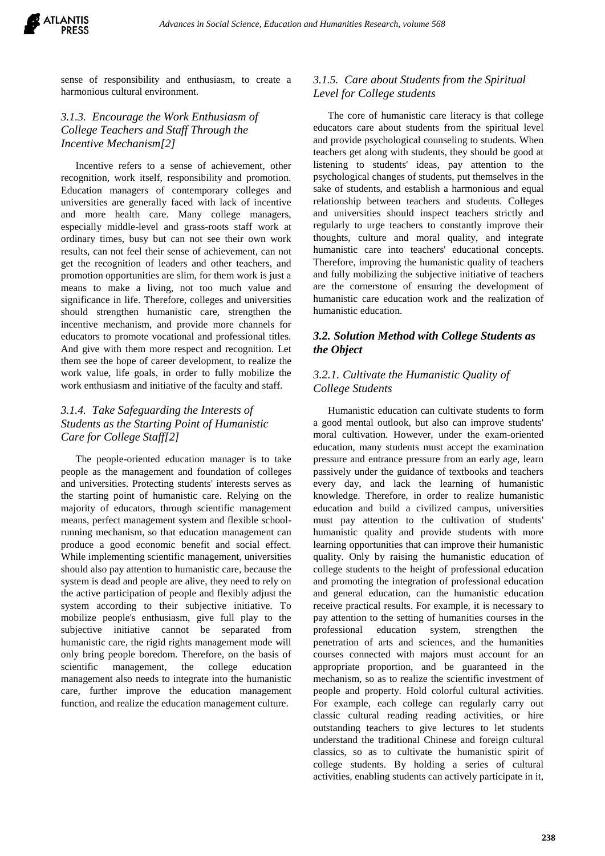sense of responsibility and enthusiasm, to create a harmonious cultural environment.

## *3.1.3. Encourage the Work Enthusiasm of College Teachers and Staff Through the Incentive Mechanism[2]*

Incentive refers to a sense of achievement, other recognition, work itself, responsibility and promotion. Education managers of contemporary colleges and universities are generally faced with lack of incentive and more health care. Many college managers, especially middle-level and grass-roots staff work at ordinary times, busy but can not see their own work results, can not feel their sense of achievement, can not get the recognition of leaders and other teachers, and promotion opportunities are slim, for them work is just a means to make a living, not too much value and significance in life. Therefore, colleges and universities should strengthen humanistic care, strengthen the incentive mechanism, and provide more channels for educators to promote vocational and professional titles. And give with them more respect and recognition. Let them see the hope of career development, to realize the work value, life goals, in order to fully mobilize the work enthusiasm and initiative of the faculty and staff.

## *3.1.4. Take Safeguarding the Interests of Students as the Starting Point of Humanistic Care for College Staff[2]*

The people-oriented education manager is to take people as the management and foundation of colleges and universities. Protecting students' interests serves as the starting point of humanistic care. Relying on the majority of educators, through scientific management means, perfect management system and flexible schoolrunning mechanism, so that education management can produce a good economic benefit and social effect. While implementing scientific management, universities should also pay attention to humanistic care, because the system is dead and people are alive, they need to rely on the active participation of people and flexibly adjust the system according to their subjective initiative. To mobilize people's enthusiasm, give full play to the subjective initiative cannot be separated from humanistic care, the rigid rights management mode will only bring people boredom. Therefore, on the basis of scientific management, the college education management also needs to integrate into the humanistic care, further improve the education management function, and realize the education management culture.

## *3.1.5. Care about Students from the Spiritual Level for College students*

The core of humanistic care literacy is that college educators care about students from the spiritual level and provide psychological counseling to students. When teachers get along with students, they should be good at listening to students' ideas, pay attention to the psychological changes of students, put themselves in the sake of students, and establish a harmonious and equal relationship between teachers and students. Colleges and universities should inspect teachers strictly and regularly to urge teachers to constantly improve their thoughts, culture and moral quality, and integrate humanistic care into teachers' educational concepts. Therefore, improving the humanistic quality of teachers and fully mobilizing the subjective initiative of teachers are the cornerstone of ensuring the development of humanistic care education work and the realization of humanistic education.

# *3.2. Solution Method with College Students as the Object*

## *3.2.1. Cultivate the Humanistic Quality of College Students*

Humanistic education can cultivate students to form a good mental outlook, but also can improve students' moral cultivation. However, under the exam-oriented education, many students must accept the examination pressure and entrance pressure from an early age, learn passively under the guidance of textbooks and teachers every day, and lack the learning of humanistic knowledge. Therefore, in order to realize humanistic education and build a civilized campus, universities must pay attention to the cultivation of students' humanistic quality and provide students with more learning opportunities that can improve their humanistic quality. Only by raising the humanistic education of college students to the height of professional education and promoting the integration of professional education and general education, can the humanistic education receive practical results. For example, it is necessary to pay attention to the setting of humanities courses in the professional education system, strengthen the penetration of arts and sciences, and the humanities courses connected with majors must account for an appropriate proportion, and be guaranteed in the mechanism, so as to realize the scientific investment of people and property. Hold colorful cultural activities. For example, each college can regularly carry out classic cultural reading reading activities, or hire outstanding teachers to give lectures to let students understand the traditional Chinese and foreign cultural classics, so as to cultivate the humanistic spirit of college students. By holding a series of cultural activities, enabling students can actively participate in it,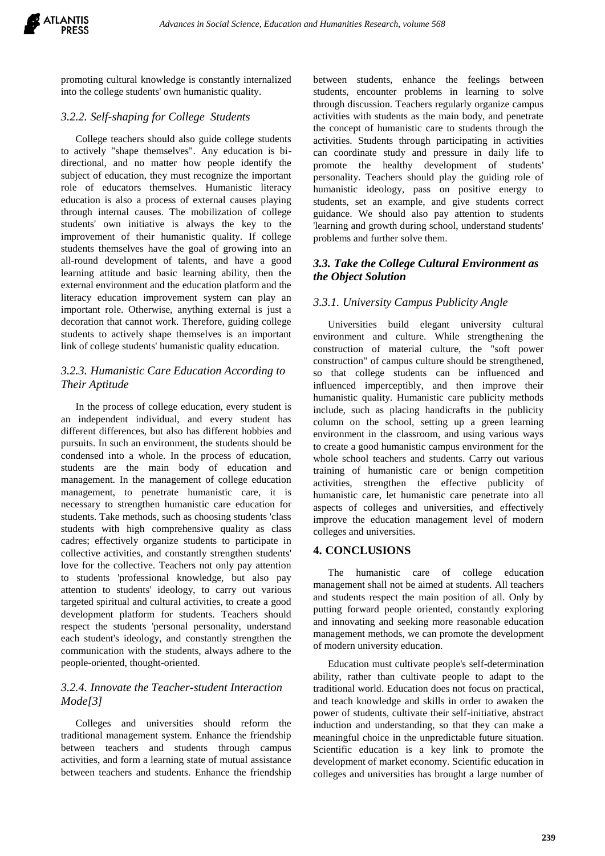promoting cultural knowledge is constantly internalized into the college students' own humanistic quality.

#### *3.2.2. Self-shaping for College Students*

College teachers should also guide college students to actively "shape themselves". Any education is bidirectional, and no matter how people identify the subject of education, they must recognize the important role of educators themselves. Humanistic literacy education is also a process of external causes playing through internal causes. The mobilization of college students' own initiative is always the key to the improvement of their humanistic quality. If college students themselves have the goal of growing into an all-round development of talents, and have a good learning attitude and basic learning ability, then the external environment and the education platform and the literacy education improvement system can play an important role. Otherwise, anything external is just a decoration that cannot work. Therefore, guiding college students to actively shape themselves is an important link of college students' humanistic quality education.

## *3.2.3. Humanistic Care Education According to Their Aptitude*

In the process of college education, every student is an independent individual, and every student has different differences, but also has different hobbies and pursuits. In such an environment, the students should be condensed into a whole. In the process of education, students are the main body of education and management. In the management of college education management, to penetrate humanistic care, it is necessary to strengthen humanistic care education for students. Take methods, such as choosing students 'class students with high comprehensive quality as class cadres; effectively organize students to participate in collective activities, and constantly strengthen students' love for the collective. Teachers not only pay attention to students 'professional knowledge, but also pay attention to students' ideology, to carry out various targeted spiritual and cultural activities, to create a good development platform for students. Teachers should respect the students 'personal personality, understand each student's ideology, and constantly strengthen the communication with the students, always adhere to the people-oriented, thought-oriented.

# *3.2.4. Innovate the Teacher-student Interaction Mode[3]*

Colleges and universities should reform the traditional management system. Enhance the friendship between teachers and students through campus activities, and form a learning state of mutual assistance between teachers and students. Enhance the friendship between students, enhance the feelings between students, encounter problems in learning to solve through discussion. Teachers regularly organize campus activities with students as the main body, and penetrate the concept of humanistic care to students through the activities. Students through participating in activities can coordinate study and pressure in daily life to promote the healthy development of students' personality. Teachers should play the guiding role of humanistic ideology, pass on positive energy to students, set an example, and give students correct guidance. We should also pay attention to students 'learning and growth during school, understand students' problems and further solve them.

## *3.3. Take the College Cultural Environment as the Object Solution*

## *3.3.1. University Campus Publicity Angle*

Universities build elegant university cultural environment and culture. While strengthening the construction of material culture, the "soft power construction" of campus culture should be strengthened, so that college students can be influenced and influenced imperceptibly, and then improve their humanistic quality. Humanistic care publicity methods include, such as placing handicrafts in the publicity column on the school, setting up a green learning environment in the classroom, and using various ways to create a good humanistic campus environment for the whole school teachers and students. Carry out various training of humanistic care or benign competition activities, strengthen the effective publicity of humanistic care, let humanistic care penetrate into all aspects of colleges and universities, and effectively improve the education management level of modern colleges and universities.

#### **4. CONCLUSIONS**

The humanistic care of college education management shall not be aimed at students. All teachers and students respect the main position of all. Only by putting forward people oriented, constantly exploring and innovating and seeking more reasonable education management methods, we can promote the development of modern university education.

Education must cultivate people's self-determination ability, rather than cultivate people to adapt to the traditional world. Education does not focus on practical, and teach knowledge and skills in order to awaken the power of students, cultivate their self-initiative, abstract induction and understanding, so that they can make a meaningful choice in the unpredictable future situation. Scientific education is a key link to promote the development of market economy. Scientific education in colleges and universities has brought a large number of